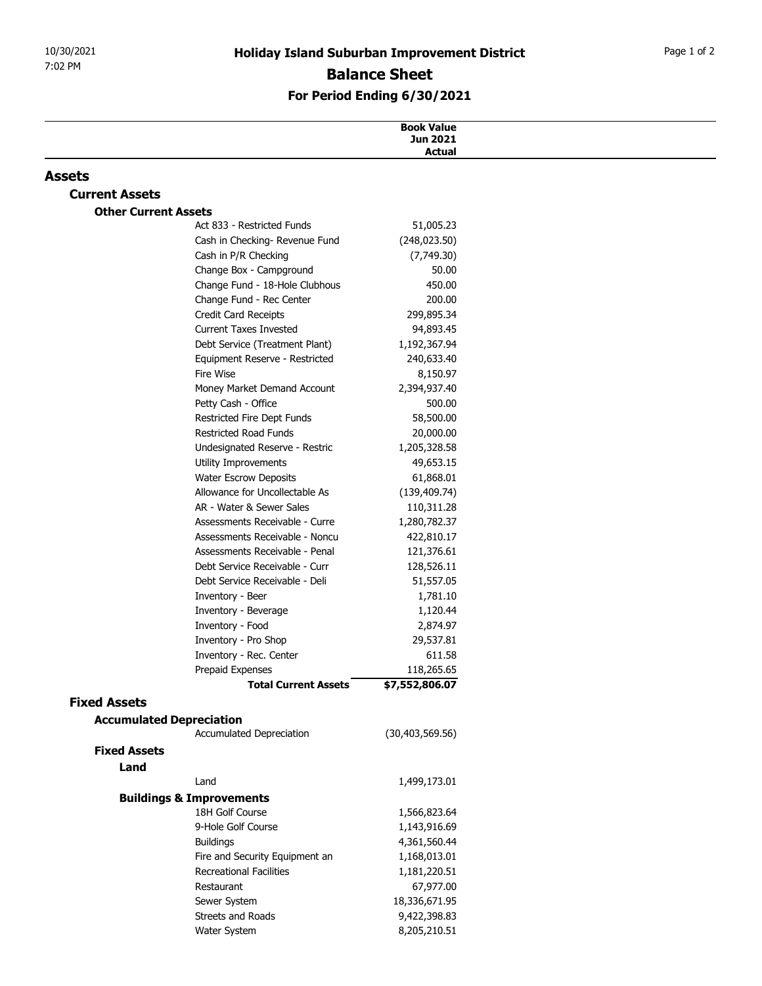## For Period Ending 6/30/2021

| 10/30/2021                  | <b>Holiday Island Suburban Improvement District</b>        |                               | Page 1 of 2 |
|-----------------------------|------------------------------------------------------------|-------------------------------|-------------|
| 7:02 PM                     | <b>Balance Sheet</b><br>For Period Ending 6/30/2021        |                               |             |
|                             |                                                            |                               |             |
|                             |                                                            |                               |             |
|                             |                                                            | <b>Book Value</b><br>Jun 2021 |             |
|                             |                                                            | <b>Actual</b>                 |             |
| <b>Assets</b>               |                                                            |                               |             |
| <b>Current Assets</b>       |                                                            |                               |             |
| <b>Other Current Assets</b> |                                                            |                               |             |
|                             | Act 833 - Restricted Funds                                 | 51,005.23                     |             |
|                             | Cash in Checking- Revenue Fund                             | (248, 023.50)                 |             |
|                             | Cash in P/R Checking<br>Change Box - Campground            | (7,749.30)<br>50.00           |             |
|                             | Change Fund - 18-Hole Clubhous                             | 450.00                        |             |
|                             | Change Fund - Rec Center                                   | 200.00                        |             |
|                             | Credit Card Receipts                                       | 299,895.34                    |             |
|                             | <b>Current Taxes Invested</b>                              | 94,893.45                     |             |
|                             | Debt Service (Treatment Plant)                             | 1,192,367.94                  |             |
|                             | Equipment Reserve - Restricted                             | 240,633.40                    |             |
|                             | Fire Wise<br>Money Market Demand Account                   | 8,150.97<br>2,394,937.40      |             |
|                             | Petty Cash - Office                                        | 500.00                        |             |
|                             | Restricted Fire Dept Funds                                 | 58,500.00                     |             |
|                             | Restricted Road Funds                                      | 20,000.00                     |             |
|                             | Undesignated Reserve - Restric                             | 1,205,328.58                  |             |
|                             | Utility Improvements                                       | 49,653.15                     |             |
|                             | <b>Water Escrow Deposits</b>                               | 61,868.01                     |             |
|                             | Allowance for Uncollectable As                             | (139, 409.74)                 |             |
|                             | AR - Water & Sewer Sales<br>Assessments Receivable - Curre | 110,311.28<br>1,280,782.37    |             |
|                             | Assessments Receivable - Noncu                             | 422,810.17                    |             |
|                             | Assessments Receivable - Penal                             | 121,376.61                    |             |
|                             | Debt Service Receivable - Curr                             | 128,526.11                    |             |
|                             | Debt Service Receivable - Deli                             | 51,557.05                     |             |
|                             | Inventory - Beer                                           | 1,781.10                      |             |
|                             | Inventory - Beverage                                       | 1,120.44                      |             |
|                             | Inventory - Food<br>Inventory - Pro Shop                   | 2,874.97                      |             |
|                             | Inventory - Rec. Center                                    | 29,537.81<br>611.58           |             |
|                             | Prepaid Expenses                                           | 118,265.65                    |             |
|                             | <b>Total Current Assets</b>                                | \$7,552,806.07                |             |
| <b>Fixed Assets</b>         |                                                            |                               |             |
|                             | <b>Accumulated Depreciation</b>                            |                               |             |
|                             | Accumulated Depreciation                                   | (30, 403, 569.56)             |             |
| <b>Fixed Assets</b>         |                                                            |                               |             |
| Land                        |                                                            |                               |             |
|                             | Land                                                       | 1,499,173.01                  |             |
|                             | <b>Buildings &amp; Improvements</b><br>18H Golf Course     | 1,566,823.64                  |             |
|                             | 9-Hole Golf Course                                         | 1,143,916.69                  |             |
|                             | <b>Buildings</b>                                           | 4,361,560.44                  |             |
|                             | Fire and Security Equipment an                             | 1,168,013.01                  |             |
|                             | Recreational Facilities                                    | 1,181,220.51                  |             |
|                             | Restaurant                                                 | 67,977.00                     |             |
|                             | Sewer System                                               | 18,336,671.95                 |             |
|                             | Streets and Roads                                          | 9,422,398.83                  |             |
|                             | Water System                                               | 8,205,210.51                  |             |